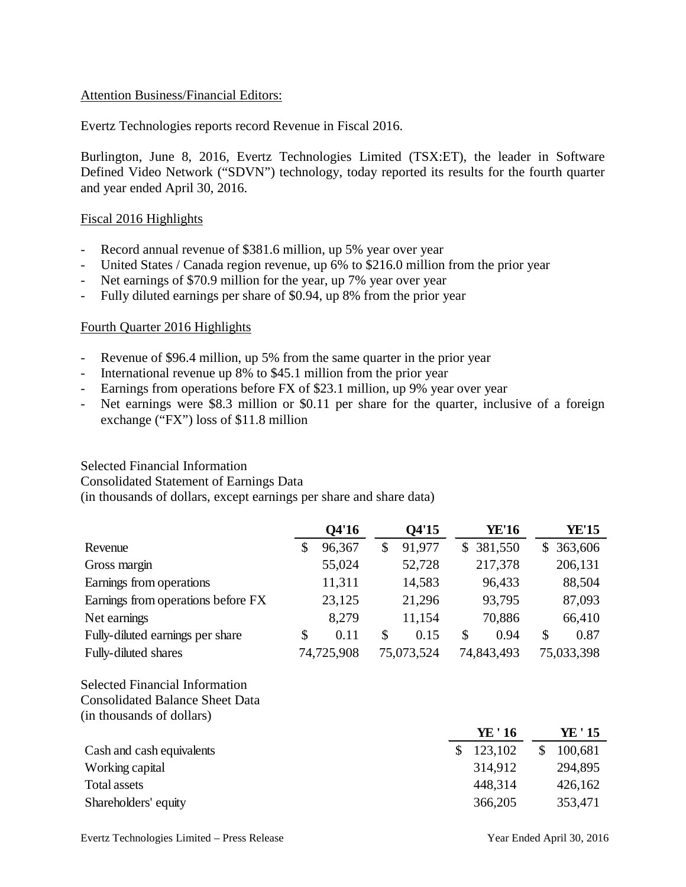#### Attention Business/Financial Editors:

Evertz Technologies reports record Revenue in Fiscal 2016.

Burlington, June 8, 2016, Evertz Technologies Limited (TSX:ET), the leader in Software Defined Video Network ("SDVN") technology, today reported its results for the fourth quarter and year ended April 30, 2016.

#### Fiscal 2016 Highlights

- Record annual revenue of \$381.6 million, up 5% year over year
- United States / Canada region revenue, up 6% to \$216.0 million from the prior year
- Net earnings of \$70.9 million for the year, up 7% year over year
- Fully diluted earnings per share of \$0.94, up 8% from the prior year

# Fourth Quarter 2016 Highlights

- Revenue of \$96.4 million, up 5% from the same quarter in the prior year
- International revenue up 8% to \$45.1 million from the prior year
- Earnings from operations before FX of \$23.1 million, up 9% year over year
- Net earnings were \$8.3 million or \$0.11 per share for the quarter, inclusive of a foreign exchange ("FX") loss of \$11.8 million

#### Selected Financial Information

Consolidated Statement of Earnings Data

(in thousands of dollars, except earnings per share and share data)

|                                        | Q4'16        | Q4'15        |               | <b>YE'16</b> | <b>YE'15</b>  |
|----------------------------------------|--------------|--------------|---------------|--------------|---------------|
| Revenue                                | \$<br>96,367 | \$<br>91,977 |               | \$ 381,550   | \$363,606     |
| Gross margin                           | 55,024       | 52,728       |               | 217,378      | 206,131       |
| Earnings from operations               | 11,311       | 14,583       |               | 96,433       | 88,504        |
| Earnings from operations before FX     | 23,125       | 21,296       |               | 93,795       | 87,093        |
| Net earnings                           | 8,279        | 11,154       |               | 70,886       | 66,410        |
| Fully-diluted earnings per share       | \$<br>0.11   | \$<br>0.15   | $\mathcal{S}$ | 0.94         | \$<br>0.87    |
| Fully-diluted shares                   | 74,725,908   | 75,073,524   |               | 74,843,493   | 75,033,398    |
| <b>Selected Financial Information</b>  |              |              |               |              |               |
| <b>Consolidated Balance Sheet Data</b> |              |              |               |              |               |
| (in thousands of dollars)              |              |              |               |              |               |
|                                        |              |              |               | YE ' 16      | YE ' 15       |
| Cash and cash equivalents              |              |              | \$            | 123,102      | \$<br>100,681 |
| Working capital                        |              |              |               | 314,912      | 294,895       |
| Total assets                           |              |              |               | 448,314      | 426,162       |
| Shareholders' equity                   |              |              |               | 366,205      | 353,471       |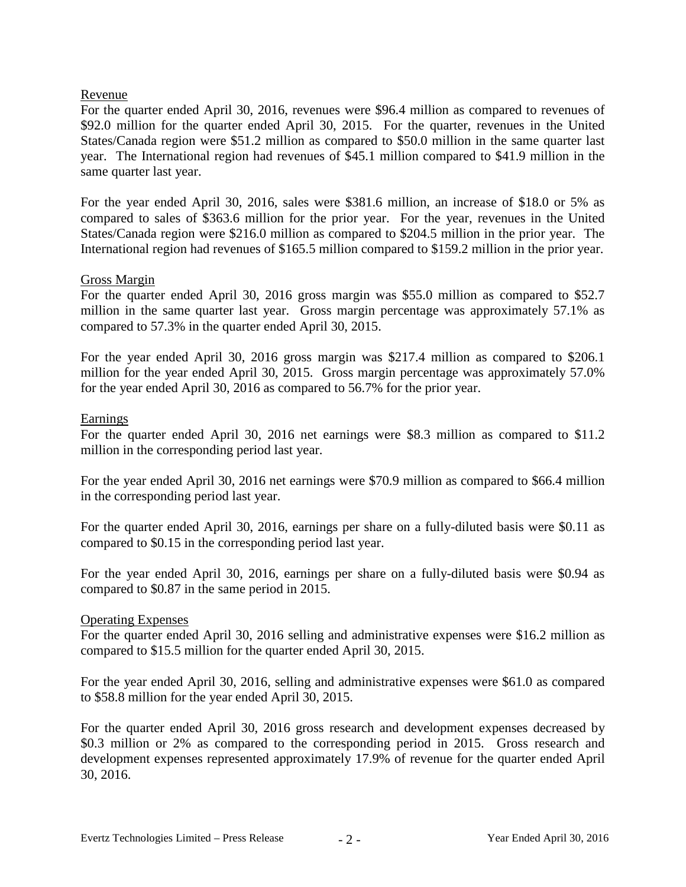# Revenue

For the quarter ended April 30, 2016, revenues were \$96.4 million as compared to revenues of \$92.0 million for the quarter ended April 30, 2015. For the quarter, revenues in the United States/Canada region were \$51.2 million as compared to \$50.0 million in the same quarter last year. The International region had revenues of \$45.1 million compared to \$41.9 million in the same quarter last year.

For the year ended April 30, 2016, sales were \$381.6 million, an increase of \$18.0 or 5% as compared to sales of \$363.6 million for the prior year. For the year, revenues in the United States/Canada region were \$216.0 million as compared to \$204.5 million in the prior year. The International region had revenues of \$165.5 million compared to \$159.2 million in the prior year.

# Gross Margin

For the quarter ended April 30, 2016 gross margin was \$55.0 million as compared to \$52.7 million in the same quarter last year. Gross margin percentage was approximately 57.1% as compared to 57.3% in the quarter ended April 30, 2015.

For the year ended April 30, 2016 gross margin was \$217.4 million as compared to \$206.1 million for the year ended April 30, 2015. Gross margin percentage was approximately 57.0% for the year ended April 30, 2016 as compared to 56.7% for the prior year.

#### **Earnings**

For the quarter ended April 30, 2016 net earnings were \$8.3 million as compared to \$11.2 million in the corresponding period last year.

For the year ended April 30, 2016 net earnings were \$70.9 million as compared to \$66.4 million in the corresponding period last year.

For the quarter ended April 30, 2016, earnings per share on a fully-diluted basis were \$0.11 as compared to \$0.15 in the corresponding period last year.

For the year ended April 30, 2016, earnings per share on a fully-diluted basis were \$0.94 as compared to \$0.87 in the same period in 2015.

#### Operating Expenses

For the quarter ended April 30, 2016 selling and administrative expenses were \$16.2 million as compared to \$15.5 million for the quarter ended April 30, 2015.

For the year ended April 30, 2016, selling and administrative expenses were \$61.0 as compared to \$58.8 million for the year ended April 30, 2015.

For the quarter ended April 30, 2016 gross research and development expenses decreased by \$0.3 million or 2% as compared to the corresponding period in 2015. Gross research and development expenses represented approximately 17.9% of revenue for the quarter ended April 30, 2016.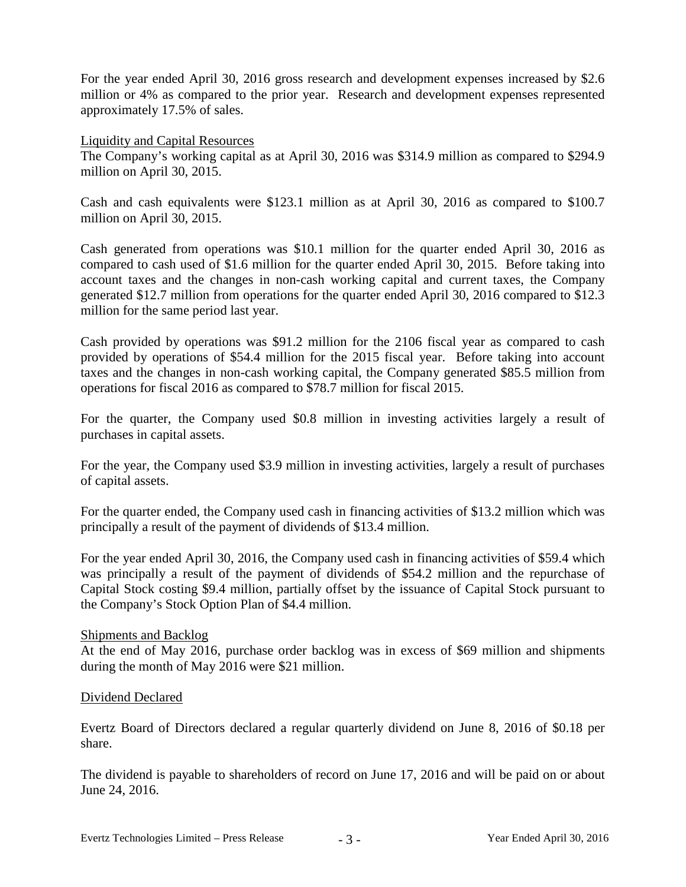For the year ended April 30, 2016 gross research and development expenses increased by \$2.6 million or 4% as compared to the prior year. Research and development expenses represented approximately 17.5% of sales.

Liquidity and Capital Resources

The Company's working capital as at April 30, 2016 was \$314.9 million as compared to \$294.9 million on April 30, 2015.

Cash and cash equivalents were \$123.1 million as at April 30, 2016 as compared to \$100.7 million on April 30, 2015.

Cash generated from operations was \$10.1 million for the quarter ended April 30, 2016 as compared to cash used of \$1.6 million for the quarter ended April 30, 2015. Before taking into account taxes and the changes in non-cash working capital and current taxes, the Company generated \$12.7 million from operations for the quarter ended April 30, 2016 compared to \$12.3 million for the same period last year.

Cash provided by operations was \$91.2 million for the 2106 fiscal year as compared to cash provided by operations of \$54.4 million for the 2015 fiscal year. Before taking into account taxes and the changes in non-cash working capital, the Company generated \$85.5 million from operations for fiscal 2016 as compared to \$78.7 million for fiscal 2015.

For the quarter, the Company used \$0.8 million in investing activities largely a result of purchases in capital assets.

For the year, the Company used \$3.9 million in investing activities, largely a result of purchases of capital assets.

For the quarter ended, the Company used cash in financing activities of \$13.2 million which was principally a result of the payment of dividends of \$13.4 million.

For the year ended April 30, 2016, the Company used cash in financing activities of \$59.4 which was principally a result of the payment of dividends of \$54.2 million and the repurchase of Capital Stock costing \$9.4 million, partially offset by the issuance of Capital Stock pursuant to the Company's Stock Option Plan of \$4.4 million.

#### Shipments and Backlog

At the end of May 2016, purchase order backlog was in excess of \$69 million and shipments during the month of May 2016 were \$21 million.

#### Dividend Declared

Evertz Board of Directors declared a regular quarterly dividend on June 8, 2016 of \$0.18 per share.

The dividend is payable to shareholders of record on June 17, 2016 and will be paid on or about June 24, 2016.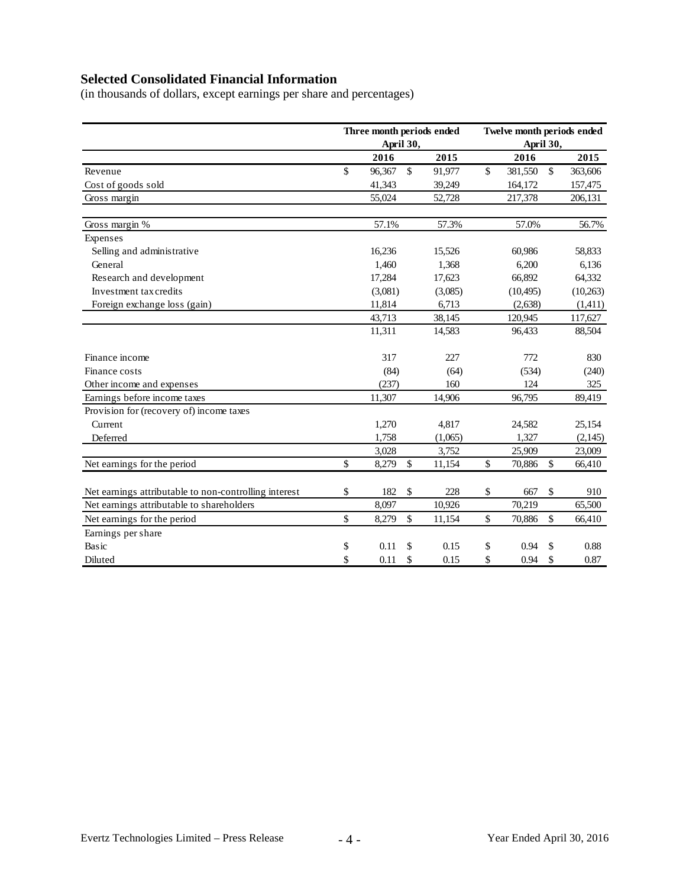# **Selected Consolidated Financial Information**

(in thousands of dollars, except earnings per share and percentages)

|                                                       | Three month periods ended<br>April 30, |         |               |         | Twelve month periods ended<br>April 30, |           |              |           |
|-------------------------------------------------------|----------------------------------------|---------|---------------|---------|-----------------------------------------|-----------|--------------|-----------|
|                                                       |                                        | 2016    |               | 2015    |                                         | 2016      |              | 2015      |
| Revenue                                               | $\mathbb{S}$                           | 96,367  | $\mathbb{S}$  | 91,977  | \$                                      | 381,550   | $\mathbb{S}$ | 363,606   |
| Cost of goods sold                                    |                                        | 41,343  |               | 39,249  |                                         | 164,172   |              | 157,475   |
| Gross margin                                          |                                        | 55,024  |               | 52,728  |                                         | 217,378   |              | 206,131   |
| Gross margin %                                        |                                        | 57.1%   |               | 57.3%   |                                         | 57.0%     |              | 56.7%     |
| Expenses                                              |                                        |         |               |         |                                         |           |              |           |
| Selling and administrative                            |                                        | 16,236  |               | 15,526  |                                         | 60,986    |              | 58,833    |
| General                                               |                                        | 1,460   |               | 1,368   |                                         | 6,200     |              | 6,136     |
| Research and development                              |                                        | 17,284  |               | 17,623  |                                         | 66,892    |              | 64,332    |
| Investment tax credits                                |                                        | (3,081) |               | (3,085) |                                         | (10, 495) |              | (10, 263) |
| Foreign exchange loss (gain)                          |                                        | 11,814  |               | 6,713   |                                         | (2,638)   |              | (1,411)   |
|                                                       |                                        | 43,713  |               | 38,145  |                                         | 120,945   |              | 117,627   |
|                                                       |                                        | 11,311  |               | 14,583  |                                         | 96,433    |              | 88,504    |
| Finance income                                        |                                        | 317     |               | 227     |                                         | 772       |              | 830       |
| Finance costs                                         |                                        | (84)    |               | (64)    |                                         | (534)     |              | (240)     |
| Other income and expenses                             |                                        | (237)   |               | 160     |                                         | 124       |              | 325       |
| Earnings before income taxes                          |                                        | 11,307  |               | 14,906  |                                         | 96,795    |              | 89,419    |
| Provision for (recovery of) income taxes              |                                        |         |               |         |                                         |           |              |           |
| Current                                               |                                        | 1,270   |               | 4,817   |                                         | 24,582    |              | 25,154    |
| Deferred                                              |                                        | 1,758   |               | (1,065) |                                         | 1,327     |              | (2,145)   |
|                                                       |                                        | 3,028   |               | 3,752   |                                         | 25,909    |              | 23,009    |
| Net earnings for the period                           | \$                                     | 8,279   | \$            | 11,154  | \$                                      | 70,886    | \$           | 66,410    |
| Net earnings attributable to non-controlling interest | \$                                     | 182     | \$            | 228     | \$                                      | 667       | \$           | 910       |
| Net earnings attributable to shareholders             |                                        | 8,097   |               | 10,926  |                                         | 70,219    |              | 65,500    |
| Net earnings for the period                           | \$                                     | 8,279   | $\mathsf{\$}$ | 11,154  | \$                                      | 70,886    | \$           | 66,410    |
| Earnings per share                                    |                                        |         |               |         |                                         |           |              |           |
| Basic                                                 | \$                                     | 0.11    | \$            | 0.15    | \$                                      | 0.94      | \$           | 0.88      |
| Diluted                                               | \$                                     | 0.11    | \$            | 0.15    | \$                                      | 0.94      | \$           | 0.87      |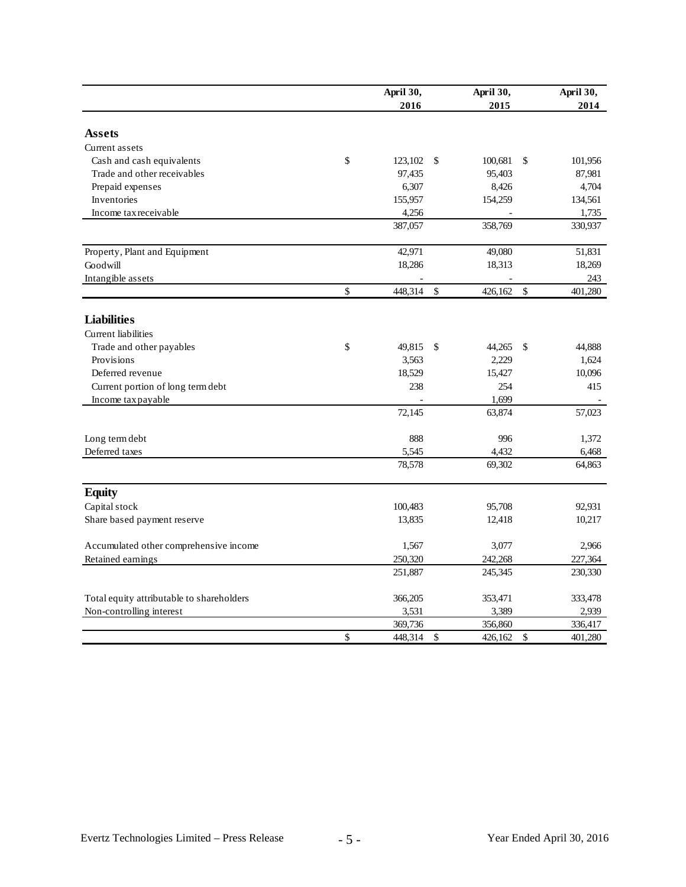|                                           | April 30,     |               | April 30, |              | April 30, |
|-------------------------------------------|---------------|---------------|-----------|--------------|-----------|
|                                           | 2016          |               | 2015      |              | 2014      |
|                                           |               |               |           |              |           |
| <b>Assets</b>                             |               |               |           |              |           |
| Current assets                            |               |               |           |              |           |
| Cash and cash equivalents                 | \$<br>123,102 | $\mathcal{S}$ | 100,681   | \$           | 101,956   |
| Trade and other receivables               | 97,435        |               | 95,403    |              | 87,981    |
| Prepaid expenses                          | 6,307         |               | 8,426     |              | 4,704     |
| Inventories                               | 155,957       |               | 154,259   |              | 134,561   |
| Income tax receivable                     | 4,256         |               |           |              | 1,735     |
|                                           | 387,057       |               | 358,769   |              | 330,937   |
| Property, Plant and Equipment             | 42,971        |               | 49,080    |              | 51,831    |
| Goodwill                                  | 18,286        |               | 18,313    |              | 18,269    |
| Intangible assets                         |               |               |           |              | 243       |
|                                           | \$<br>448,314 | $\mathcal{S}$ | 426,162   | \$           | 401,280   |
| <b>Liabilities</b>                        |               |               |           |              |           |
|                                           |               |               |           |              |           |
| <b>Current</b> liabilities                |               |               |           |              |           |
| Trade and other payables                  | \$<br>49,815  | $\mathcal{S}$ | 44,265    | \$           | 44,888    |
| Provisions                                | 3,563         |               | 2,229     |              | 1,624     |
| Deferred revenue                          | 18,529        |               | 15,427    |              | 10,096    |
| Current portion of long term debt         | 238           |               | 254       |              | 415       |
| Income tax payable                        |               |               | 1.699     |              |           |
|                                           | 72,145        |               | 63,874    |              | 57,023    |
| Long term debt                            | 888           |               | 996       |              | 1,372     |
| Deferred taxes                            | 5,545         |               | 4,432     |              | 6,468     |
|                                           | 78,578        |               | 69,302    |              | 64,863    |
| <b>Equity</b>                             |               |               |           |              |           |
| Capital stock                             | 100,483       |               | 95,708    |              | 92,931    |
| Share based payment reserve               | 13,835        |               | 12,418    |              | 10,217    |
|                                           |               |               |           |              |           |
| Accumulated other comprehensive income    | 1,567         |               | 3,077     |              | 2,966     |
| Retained earnings                         | 250,320       |               | 242,268   |              | 227,364   |
|                                           | 251,887       |               | 245,345   |              | 230,330   |
| Total equity attributable to shareholders | 366,205       |               | 353,471   |              | 333,478   |
| Non-controlling interest                  | 3,531         |               | 3,389     |              | 2,939     |
|                                           | 369,736       |               | 356,860   |              | 336,417   |
|                                           | \$<br>448,314 | \$            | 426,162   | $\mathbb{S}$ | 401,280   |